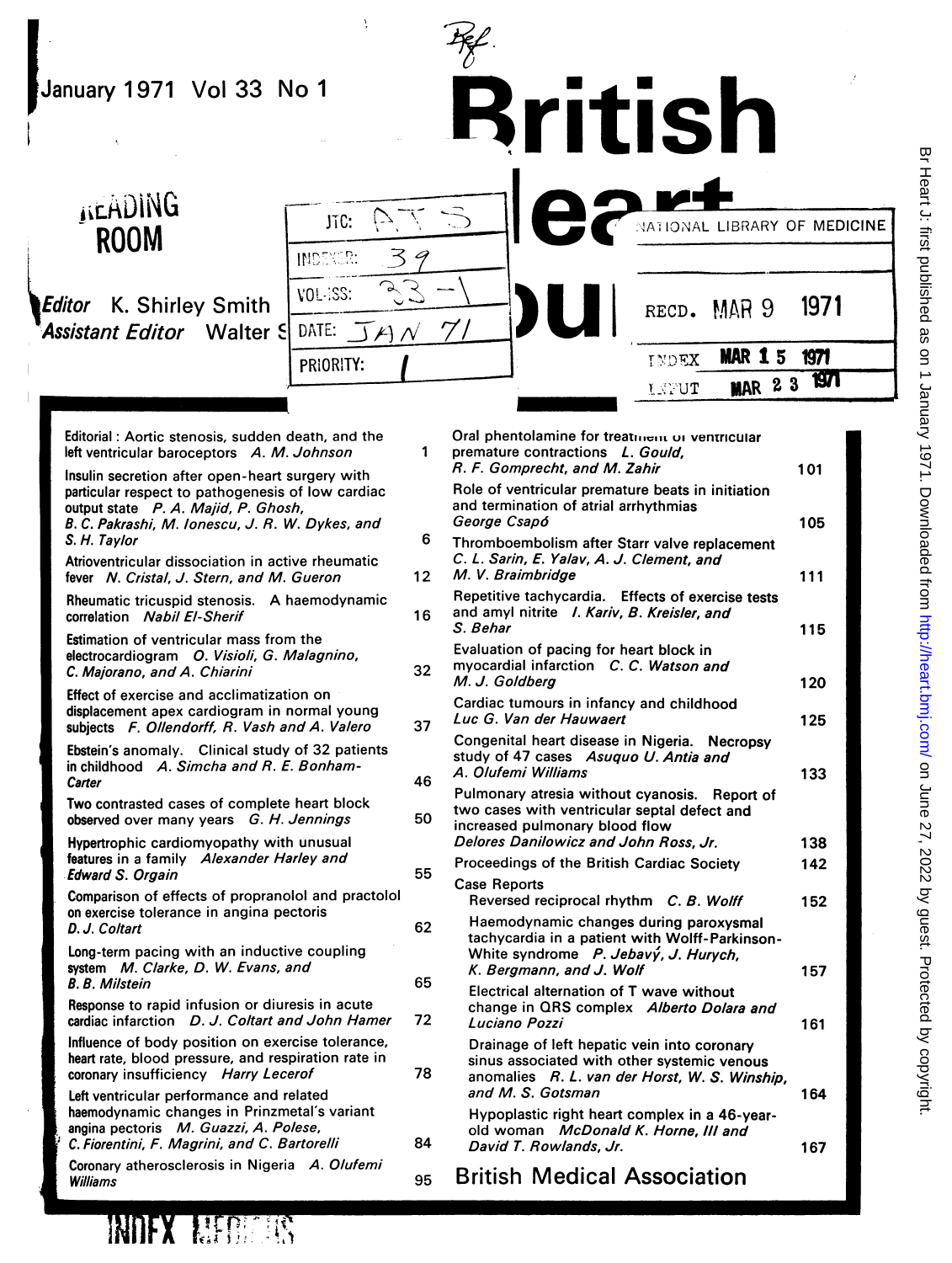| January 1971 Vol 33 No 1                                                                                                                                                                                                                                                                          |                              | <b>Rritish</b>                                                                                                                                                                                                                                                                                                                                                                                                          |            |
|---------------------------------------------------------------------------------------------------------------------------------------------------------------------------------------------------------------------------------------------------------------------------------------------------|------------------------------|-------------------------------------------------------------------------------------------------------------------------------------------------------------------------------------------------------------------------------------------------------------------------------------------------------------------------------------------------------------------------------------------------------------------------|------------|
| <b>JIEADING</b><br><b>ROOM</b>                                                                                                                                                                                                                                                                    | JTC:<br><b>INDEXER:</b><br>ろ | NATIONAL LIBRARY OF MEDICINE                                                                                                                                                                                                                                                                                                                                                                                            |            |
| K. Shirley Smith<br><b>Editor</b><br><b>Assistant Editor</b> Walter S                                                                                                                                                                                                                             | <b>VOL-ISS:</b><br>DATE:     | RECD. MAR 9                                                                                                                                                                                                                                                                                                                                                                                                             | 1971       |
|                                                                                                                                                                                                                                                                                                   | PRIORITY:                    | <b>MAR 15</b><br>INDEX<br><b>MAR 23</b><br>LAPUT                                                                                                                                                                                                                                                                                                                                                                        | 1971<br>íШ |
| Editorial: Aortic stenosis, sudden death, and the<br>left ventricular baroceptors A. M. Johnson<br>Insulin secretion after open-heart surgery with<br>particular respect to pathogenesis of low cardiac<br>output state P. A. Majid, P. Ghosh,<br>B. C. Pakrashi, M. Ionescu, J. R. W. Dykes, and | $\mathbf{1}$                 | Oral phentolamine for treatment or ventricular<br>premature contractions L. Gould.<br>R. F. Gomprecht, and M. Zahir<br>Role of ventricular premature beats in initiation<br>and termination of atrial arrhythmias<br>George Csapó                                                                                                                                                                                       | 101<br>105 |
| S. H. Taylor<br>Atrioventricular dissociation in active rheumatic<br>fever N. Cristal, J. Stern, and M. Gueron                                                                                                                                                                                    | 6<br>12 <sup>1</sup>         | Thromboembolism after Starr valve replacement<br>C. L. Sarin, E. Yalav, A. J. Clement, and<br>M. V. Braimbridge                                                                                                                                                                                                                                                                                                         | 111        |
| Rheumatic tricuspid stenosis. A haemodynamic<br>correlation Nabil El-Sherif                                                                                                                                                                                                                       | 16                           | Repetitive tachycardia. Effects of exercise tests<br>and amyl nitrite I. Kariv, B. Kreisler, and<br>S. Behar                                                                                                                                                                                                                                                                                                            | 115        |
| <b>Estimation of ventricular mass from the</b><br>electrocardiogram O. Visioli, G. Malagnino,<br>C. Majorano, and A. Chiarini                                                                                                                                                                     | 32                           | Evaluation of pacing for heart block in<br>myocardial infarction C. C. Watson and<br>$\mathbf{A}$ $\mathbf{A}$ $\mathbf{A}$ $\mathbf{A}$ $\mathbf{A}$ $\mathbf{A}$ $\mathbf{A}$ $\mathbf{A}$ $\mathbf{A}$ $\mathbf{A}$ $\mathbf{A}$ $\mathbf{A}$ $\mathbf{A}$ $\mathbf{A}$ $\mathbf{A}$ $\mathbf{A}$ $\mathbf{A}$ $\mathbf{A}$ $\mathbf{A}$ $\mathbf{A}$ $\mathbf{A}$ $\mathbf{A}$ $\mathbf{A}$ $\mathbf{A}$ $\mathbf{$ | $\sim$     |

50

55

Effect of exercise and acclimatization on displacement apex cardiogram in normal young subjects F. Ollendorff, R. Vash and A. Valero

Ebstein's anomaly. Clinical study of 32 patients in childhood A. Simcha and R. E. Bonham-**Carter** 

Two contrasted cases of complete heart block observed over many years G. H. Jennings

Hypertrophic cardiomyopathy with unusual features in a family Alexander Harley and Edward S. Orgain

Comparison of effects of propranolol and practolol on exercise tolerance in angina pectoris D. J. Coltart

Long-term pacing with an inductive coupling system M. Clarke, D. W. Evans, and B. B. Milstein

Response to rapid infusion or diuresis in acute cardiac infarction D. J. Coltart and John Hamer

Influence of body position on exercise tolerance, heart rate, blood pressure, and respiration rate in coronary insufficiency Harry Lecerof

Left ventricular performance and related haemodynamic changes in Prinzmetal's variant angina pectoris M. Guazzi, A. Polese, C. Fiorentini, F. Magrini, and C. Bartorelli

Coronary atherosclerosis in Nigeria A. Olufemi IWilliams

 $\mathbb{I} \oplus \mathbb{I} \oplus \mathbb{I}$ 

32 Myocardial infarction C.C. Watson and<br>M.J. Goldberg m O. Visioli, G. Malagnino,  $dA$ . Chiarini 32 myocardial infarction C. C. Watson and<br>
e and acclimatization on Cardiac tumours in infancy and childhood<br>
e and acclimatization on Cardiac tumours in infancy and childhood<br>
e M. J. Goldberg<br>
inno, and A. Chiarini and S. Wallen C.<br>
exercise and acclimatization on<br>
ent apex cardiogram in normal young<br>
F. Ollendorff, R. Vash and A. Valero<br>
anomaly. Clinical study of 32 patients<br>
Congenital heart d Congenital heart disease in Nigeria. Necropsy study of 47 cases Asuquo U. Antia and<br>A. Olufemi Williams 46 A. Oluferm williams<br>Pulmonary atresia without cyanosis. Report of two cases with ventricular septal defect and increased pulmonary blood flow Delores Daniowicz and John Ross, Jr. Proceedings of the British Cardiac Society Case Reports Reversed reciprocal rhythm C. B. Wolff <sup>62</sup> Haemodynamic changes during paroxysmal tachycardia in <sup>a</sup> patient with Wolff-Parkinson-White syndrome P. Jebavý, J. Hurych, K. Bergmann, and J. Wolf 65 Electrical alternation of T wave without change in QRS complex Alberto Dolara and 72 Luciano Pozzi Drainage of left hepatic vein into coronary sinus associated with other systemic venous 78 anomalies R. L. van der Horst, W. S. Winship, and M. S. Gotsman Hypoplastic right heart complex in a 46-yearold woman McDonald K. Horne, III and 120 125 133 138 142 152 157 161 164

84 David T. Rowlands, Jr. 167

<sup>95</sup> British Medical Association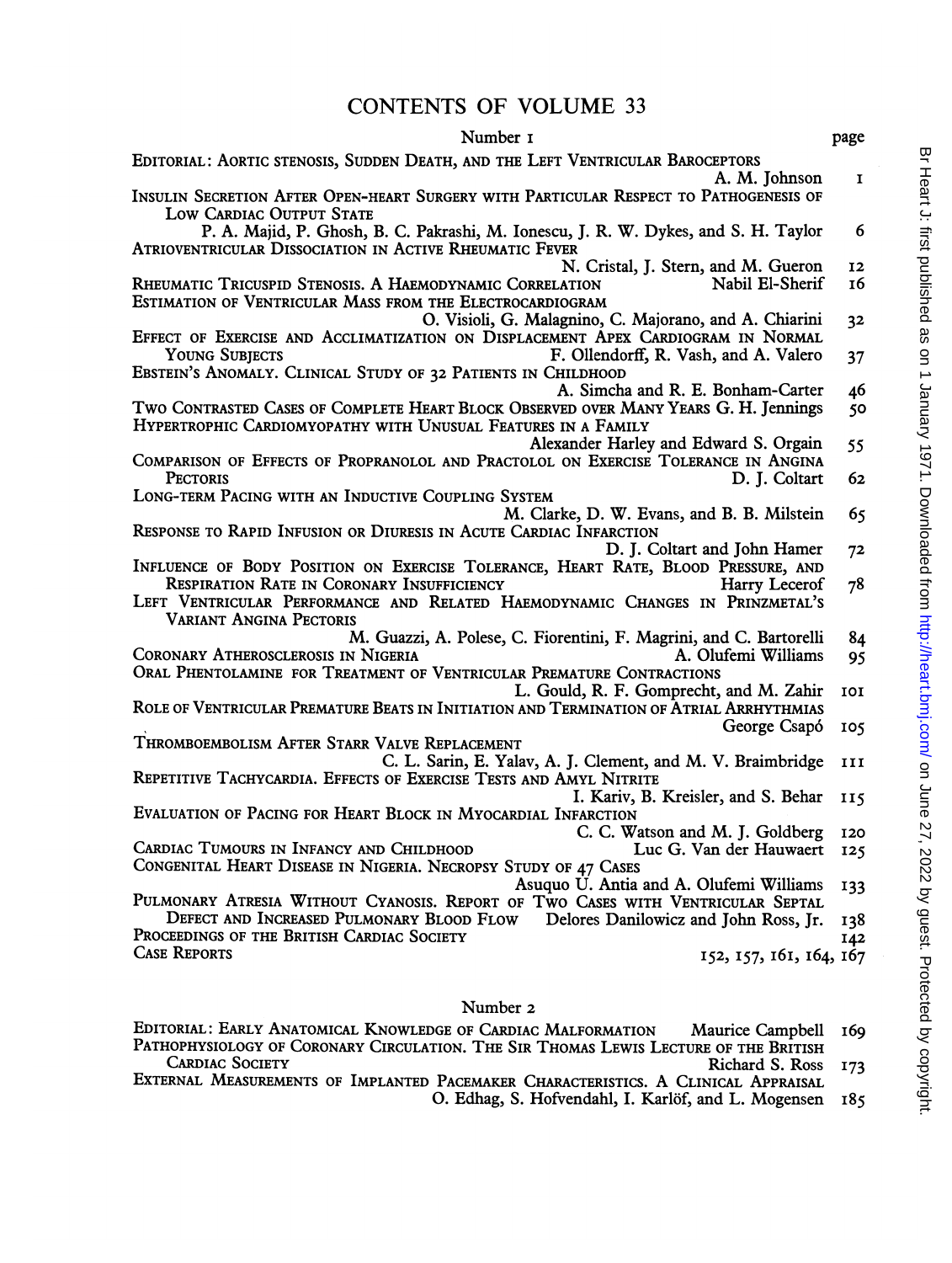# CONTENTS OF VOLUME <sup>33</sup>

| Number 1                                                                                                                                                | page         |
|---------------------------------------------------------------------------------------------------------------------------------------------------------|--------------|
| EDITORIAL: AORTIC STENOSIS, SUDDEN DEATH, AND THE LEFT VENTRICULAR BAROCEPTORS<br>A. M. Iohnson                                                         | $\mathbf{I}$ |
| INSULIN SECRETION AFTER OPEN-HEART SURGERY WITH PARTICULAR RESPECT TO PATHOGENESIS OF<br>LOW CARDIAC OUTPUT STATE                                       |              |
| P. A. Majid, P. Ghosh, B. C. Pakrashi, M. Ionescu, J. R. W. Dykes, and S. H. Taylor<br>ATRIOVENTRICULAR DISSOCIATION IN ACTIVE RHEUMATIC FEVER          | 6            |
| N. Cristal, J. Stern, and M. Gueron                                                                                                                     | 12           |
| RHEUMATIC TRICUSPID STENOSIS. A HAEMODYNAMIC CORRELATION<br>Nabil El-Sherif<br>ESTIMATION OF VENTRICULAR MASS FROM THE ELECTROCARDIOGRAM                | 16           |
| O. Visioli, G. Malagnino, C. Majorano, and A. Chiarini<br>EFFECT OF EXERCISE AND ACCLIMATIZATION ON DISPLACEMENT APEX CARDIOGRAM IN NORMAL              | 32           |
| F. Ollendorff, R. Vash, and A. Valero<br><b>YOUNG SUBJECTS</b>                                                                                          | 37           |
| EBSTEIN'S ANOMALY. CLINICAL STUDY OF 32 PATIENTS IN CHILDHOOD                                                                                           |              |
| A. Simcha and R. E. Bonham-Carter<br>TWO CONTRASTED CASES OF COMPLETE HEART BLOCK OBSERVED OVER MANY YEARS G. H. Jennings                               | 46<br>50     |
| HYPERTROPHIC CARDIOMYOPATHY WITH UNUSUAL FEATURES IN A FAMILY                                                                                           |              |
| Alexander Harley and Edward S. Orgain                                                                                                                   | 55           |
| COMPARISON OF EFFECTS OF PROPRANOLOL AND PRACTOLOL ON EXERCISE TOLERANCE IN ANGINA<br><b>PECTORIS</b><br>D. J. Coltart                                  | 62           |
| LONG-TERM PACING WITH AN INDUCTIVE COUPLING SYSTEM                                                                                                      |              |
| M. Clarke, D. W. Evans, and B. B. Milstein<br>RESPONSE TO RAPID INFUSION OR DIURESIS IN ACUTE CARDIAC INFARCTION                                        | 65           |
| D. J. Coltart and John Hamer                                                                                                                            | 72           |
| INFLUENCE OF BODY POSITION ON EXERCISE TOLERANCE, HEART RATE, BLOOD PRESSURE, AND<br><b>RESPIRATION RATE IN CORONARY INSUFFICIENCY</b><br>Harry Lecerof | 78           |
| LEFT VENTRICULAR PERFORMANCE AND RELATED HAEMODYNAMIC CHANGES IN PRINZMETAL'S<br>VARIANT ANGINA PECTORIS                                                |              |
| M. Guazzi, A. Polese, C. Fiorentini, F. Magrini, and C. Bartorelli                                                                                      | 84           |
| CORONARY ATHEROSCLEROSIS IN NIGERIA<br>A. Olufemi Williams                                                                                              | 95           |
| ORAL PHENTOLAMINE FOR TREATMENT OF VENTRICULAR PREMATURE CONTRACTIONS<br>L. Gould, R. F. Gomprecht, and M. Zahir                                        | 101          |
| ROLE OF VENTRICULAR PREMATURE BEATS IN INITIATION AND TERMINATION OF ATRIAL ARRHYTHMIAS                                                                 |              |
| George Csapó<br>THROMBOEMBOLISM AFTER STARR VALVE REPLACEMENT                                                                                           | 105          |
| C. L. Sarin, E. Yalav, A. J. Clement, and M. V. Braimbridge                                                                                             | III          |
| REPETITIVE TACHYCARDIA. EFFECTS OF EXERCISE TESTS AND AMYL NITRITE<br>I. Kariv, B. Kreisler, and S. Behar                                               |              |
| EVALUATION OF PACING FOR HEART BLOCK IN MYOCARDIAL INFARCTION                                                                                           | 115          |
| C. C. Watson and M. J. Goldberg<br>CARDIAC TUMOURS IN INFANCY AND CHILDHOOD<br>Luc G. Van der Hauwaert                                                  | 120<br>125   |
| CONGENITAL HEART DISEASE IN NIGERIA. NECROPSY STUDY OF 47 CASES                                                                                         |              |
| Asuquo U. Antia and A. Olufemi Williams<br>PULMONARY ATRESIA WITHOUT CYANOSIS. REPORT OF TWO CASES WITH VENTRICULAR SEPTAL                              | 133          |
| DEFECT AND INCREASED PULMONARY BLOOD FLOW Delores Danilowicz and John Ross, Jr.                                                                         | 138          |
| PROCEEDINGS OF THE BRITISH CARDIAC SOCIETY<br><b>CASE REPORTS</b><br>152, 157, 161, 164, 167                                                            | 142          |
|                                                                                                                                                         |              |

## Number 2

| EDITORIAL: EARLY ANATOMICAL KNOWLEDGE OF CARDIAC MALFORMATION<br>Maurice Campbell 169                                                 |  |
|---------------------------------------------------------------------------------------------------------------------------------------|--|
| PATHOPHYSIOLOGY OF CORONARY CIRCULATION. THE SIR THOMAS LEWIS LECTURE OF THE BRITISH                                                  |  |
| CIPPLIC COOPTY<br>$\mathbf{n}: \mathbf{1} \cup \mathbf{1} \cup \mathbf{0}$ , $\mathbf{n}: \mathbf{1} \cup \mathbf{1} \cup \mathbf{1}$ |  |

- 
- CARDIAC SOCIETY Richard S. Ross 173 EXTERNAL MEASUREMENTS OF IMPLANTED PACEMAKER CHARACTERISTICS. A CLINICAL APPRAISAL O. Edhag, S. Hofvendahl, I. Karlöf, and L. Mogensen 185
- Br Heart J: first published as on 1 January 1971. Downloaded from http://heart.bmj.com/ on June 27, 2022 by guest. Protected by copyright. Br Heart J. first published as on 1 January 1971. Downloaded from <http://heart.bmj.com/> on June 27, 2022 by guest. Protected by copyright.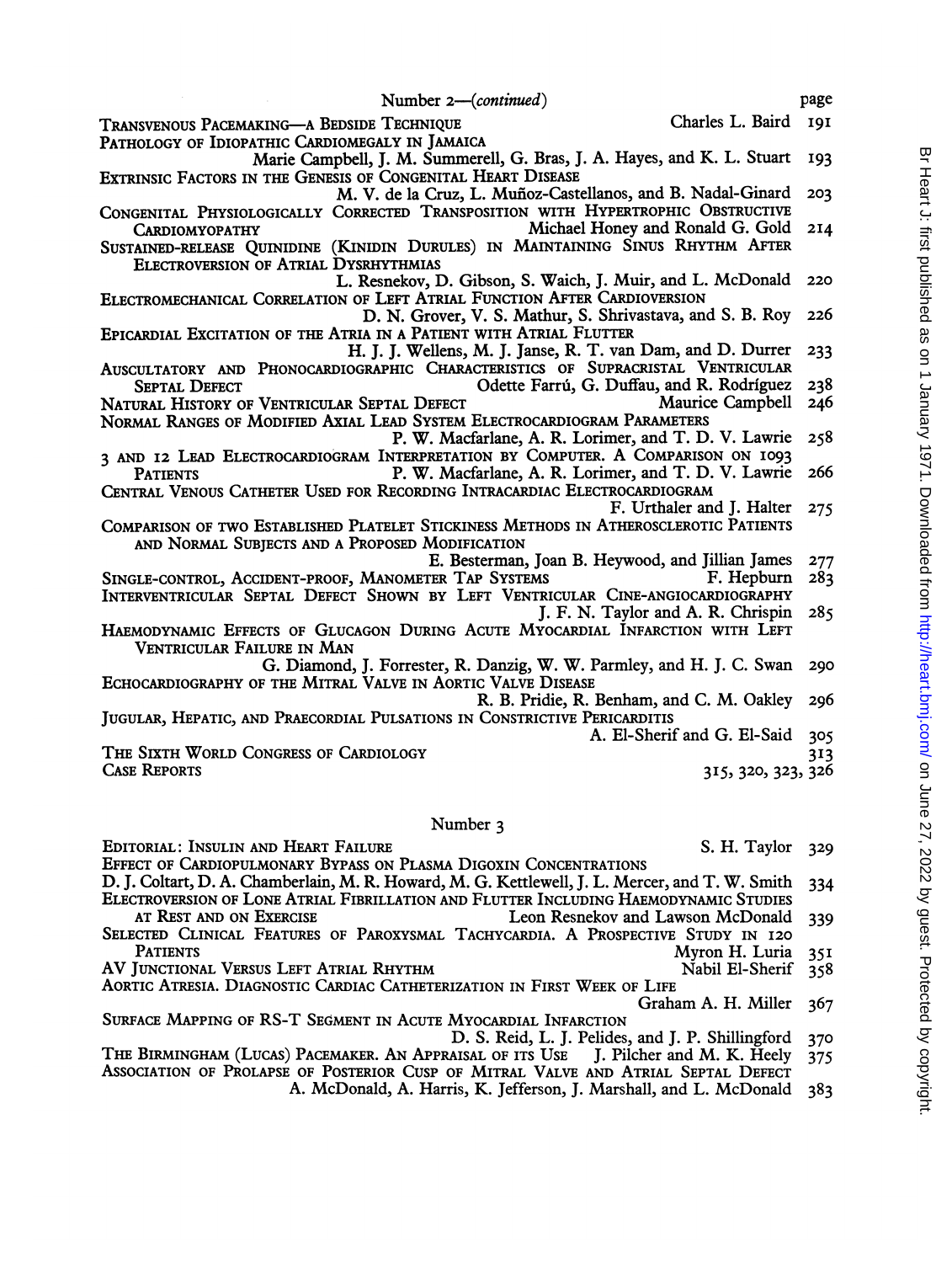Number 2-(*continued*) page

TRANSVENOUS PACEMAKING-A BEDSIDE TECHNIQUE Charles L. Baird I9I PATHOLOGY OF IDIOPATHIC CARDIOMEGALY IN JAMAICA

- Marie Campbell, J. M. Summerell, G. Bras, J. A. Haves, and K. L. Stuart 193 EXTRINSIC FACTORS IN THE GENESIS OF CONGENITAL HEART DISEASE
- M. V. de la Cruz, L. Muñoz-Castellanos, and B. Nadal-Ginard 203 CONGENITAL PHYSIOLOGICALLY CORRECTED TRANSPOSITION WITH HYPERTROPHIC OBSTRUCTIVE<br>CARDIOMYOPATHY Michael Honey and Ronald G. Gold 214 CARDIOMYOPATHY Michael Honey and Ronald G. Gold 2I4
- SUSTAINED-RELEASE QUINIDINE (KINIDIN DURULES) IN MAINTAINING SINUS RHYTHM AFTER ELECTROVERSION OF ATRIAL DYSRHYTHMIAS
- L. Resnekov, D. Gibson, S. Waich, J. Muir, and L. McDonald 220 ELECTROMECHANICAL CORRELATION OF LEFT ATRIAL FUNCTION AFTER CARDIOVERSION
- D. N. Grover, V. S. Mathur, S. Shrivastava, and S. B. Rov 226 EPICARDIAL EXCITATION OF THE ATRIA IN A PATIENT WITH ATRIAL FLUTTER
	- H. J. J. Wellens, M. J. Janse, R. T. van Dam, and D. Durrer 233
- AUSCULTATORY AND PHONOCARDIOGRAPHIC CHARACTERISTICS OF SUPRACRISTAL VENTRICULAR<br>SEPTAL DEFECT **Odette Farrú, G. Duffau, and R. Rodríguez** Odette Farrú, G. Duffau, and R. Rodríguez 238<br>Maurice Campbell 246 NATURAL HISTORY OF VENTRICULAR SEPTAL DEFECT
- NORMAL RANGES OF MODIFIED AXIAL LEAD SYSTEM ELECTROCARDIOGRAM PARAMETERS P. W. Macfarlane, A. R. Lorimer, and T. D. V. Lawrie 258
- 3 AND I2 LEAD ELECTROCARDIOGRAM INTERPRETATION BY COMPUTER. A COMPARISON ON 1093<br>PATIENTS P. W. Macfarlane, A. R. Lorimer, and T. D. V. Lawrie P. W. Macfarlane, A. R. Lorimer, and T. D. V. Lawrie 266
- CENTRAL VENOUS CATHETER USED FOR RECORDING INTRACARDIAC ELECTROCARDIOGRAM F. Urthaler and J. Halter 275
- COMPARISON OF Two ESTABLISHED PLATELET STICKINESS METHODS IN ATHEROSCLEROTIC PATIENTS AND NORMAL SUBJECTS AND A PROPOSED MODIFICATION
	-
- E. Besterman, Joan B. Heywood, and Jillian James 277 SINGLE-CONTROL, ACCIDENT-PROOF, MANOMETER TAP SYSTEMS INTERVENTRICULAR SEPTAL DEFECT SHOWN BY LEFT VENTRICULAR CINE-ANGIOCARDIOGRAPHY
- J. F. N. Taylor and A. R. Chrispin 285 HAEMODYNAMIC EFFECTS OF GLUCAGON DURING ACUTE MYOCARDIAL INFARCTION WITH LEFT VENTRICULAR FAILURE IN MAN
- G. Diamond, J. Forrester, R. Danzig, W. W. Parmley, and H. J. C. Swan 290 ECHOCARDIOGRAPHY OF THE MITRAL VALVE IN AORTIC VALVE DISEASE
- R. B. Pridie, R. Benham, and C. M. Oakley 296 JUGULAR, HEPATIC, AND PRAECORDIAL PULSATIONS IN CONSTRICTIVE PERICARDITIS

A. El-Sherif and G. El-Said 305

THE SIXTH WORLD CONGRESS OF CARDIOLOGY<br>CASE REPORTS 313, 326, 323, 326

### Number <sup>3</sup>

EDITORIAL: INSULIN AND HEART FAILURE S. H. Taylor 329

315, 320, 323, 326

- EFFECT OF CARDIOPULMONARY BYPASS ON PLASMA DIGOXIN CONCENTRATIONS D. J. Coltart, D. A. Chamberlain, M. R. Howard, M. G. Kettlewell, J. L. Mercer, and T. W. Smith 334 ELECTROVERSION OF LONE ATRIAL FIBRILLATION AND FLUTTER INCLUDING HAEMODYNAMIC STUDIES
- AT REST AND ON EXERCISE Leon Resnekov and Lawson McDonald 339 SELECTED CLINICAL FEATURES OF PAROXYSMAL TACHYCARDIA. A PROSPECTIVE STUDY IN 120<br>Patients Muton H. Luria Myron H. Luria 351<br>Nabil El-Sherif 358
- AV JUNCTIONAL VERSUS LEFT ATRIAL RHYTHM NABIL EL-Sherif 358
- AORTIC ATRESIA. DIAGNOSTIC CARDIAC CATHETERIZATION IN FIRST WEEK OF LIFE

Graham A. H. Miller 367

- SURFACE MAPPING OF RS-T SEGMENT IN ACUTE MYOCARDIAL INFARCTION
- D. S. Reid, L. J. Pelides, and J. P. Shillingford 370<br>AISAL OF ITS USE J. Pilcher and M. K. Heely 375 THE BIRMINGHAM (LUCAS) PACEMAKER. AN APPRAISAL OF ITS USE J. Pilcher and M. K. Heely 375 ASSOCIATION OF PROLAPSE OF POSTERIOR CUSP OF MITRAL VALVE AND ATRIAL SEPTAL DEFECT
	- A. McDonald, A. Harris, K. Jefferson, J. Marshall, and L. McDonald 383
- Br Heart J: first published as on 1 January 1971. Downloaded from http://heart.bmj.com/ on June 27, 2022 by guest. Protected by copyright Br Heart J. first published as on 1 January 1971. Downloaded from <http://heart.bmj.com/> on June 27, 2022 by guest. Protected by copyright.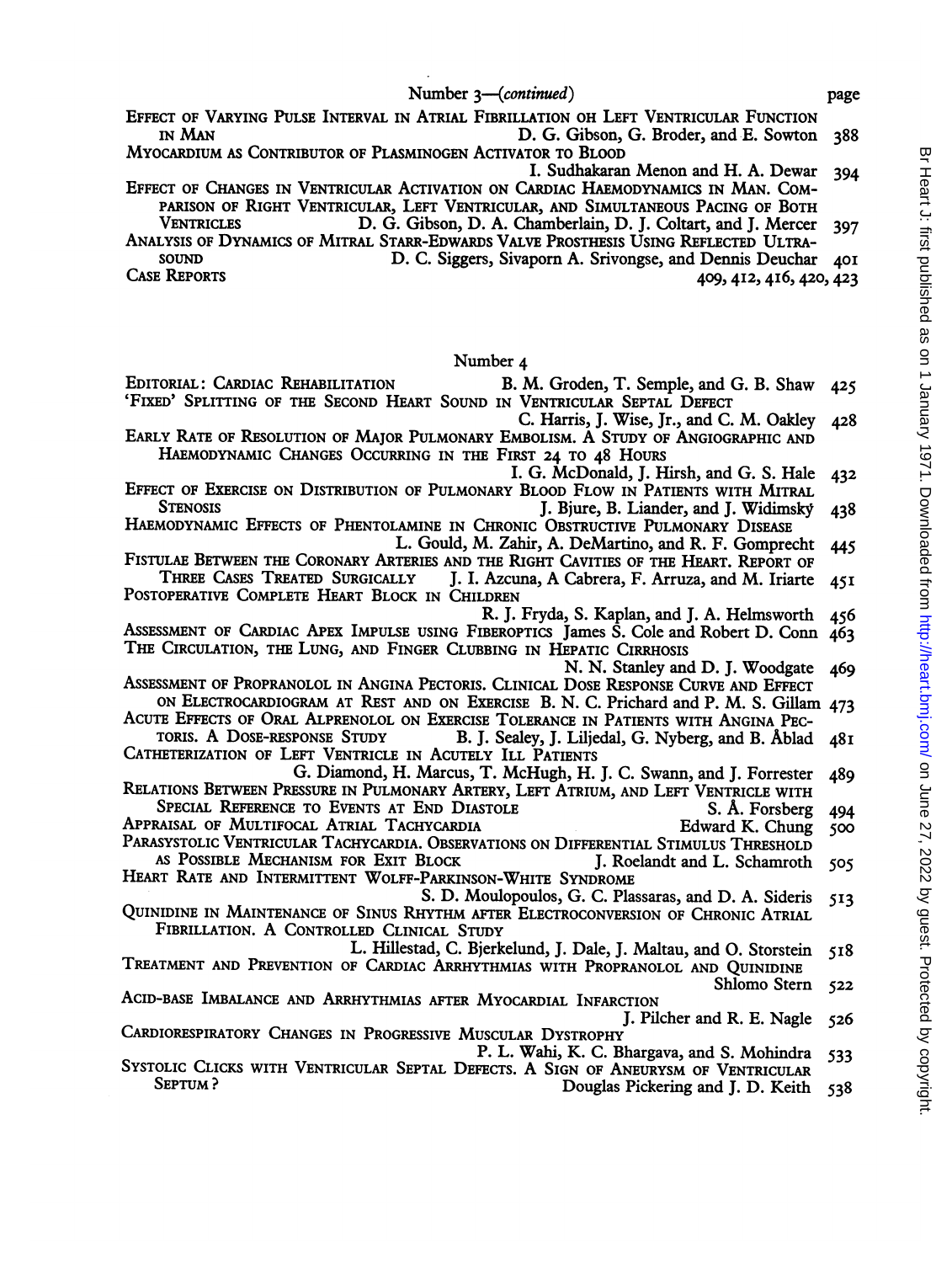Number 3-continued) page

- EFFECT OF VARYING PULSE INTERVAL IN ATRIAL FIBRILLATION OH LEFT VENTRICULAR FUNCTION<br>IN MAN D. G. Gibson, G. Broder, and E. Sowton D. G. Gibson, G. Broder, and E. Sowton 388
- MYOCARDIUM AS CONTRIBUTOR OF PLASMINOGEN ACTIVATOR TO BLOOD I. Sudhakaran Menon and H. A. Dewar 394
- EFFECT OF CHANGES IN VENTRICULAR ACTIVATION ON CARDIAC HAEMODYNAMICS IN MAN. COM-PARISON OF RIGHT VENTRICULAR, LEFT VENTRICULAR, AND SIMULTANEOUS PACING OF BOTH<br>VENTRICLES D. G. Gibson, D. A. Chamberlain, D. I. Coltart, and I. Mercer D. G. Gibson, D. A. Chamberlain, D. J. Coltart, and J. Mercer 397
- ANALYSIS OF DYNAMICS OF MITRAL STARR-EDWARDS VALVE PROSTHESIS USING REFLECTED ULTRA-SOUND D. C. Siggers, Sivaporn A. Srivongse, and Dennis Deuchar 401<br>CASE REPORTS 420.422

CASE REPORTS 409,4I2, 4I6, 420, 423

#### Number 4

- EDITORIAL: CARDIAC REHABILITATION B. M. Groden, T. Semple, and G. B. Shaw 425 'FIxED' SPLITTING OF THE SECOND HEART SOUND IN VENTRICULAR SEPTAL DEFECT
- C. Harris, J. Wise, Jr., and C. M. Oakley 428 EARLY RATE OF RESOLUTION OF MAJOR PULMONARY EMBOLISM. A STUDY OF ANGIOGRAPHIC AND HAEMODYNAMIC CHANGES OCCURRING IN THE FIRST 24 TO 48 HoURS
	- I. G. McDonald, J. Hirsh, and G. S. Hale 432
- EFFECT OF EXERCISE ON DISTRIBUTION OF PULMONARY BLOOD FLOW IN PATIENTS WITH MITRAL<br>STENOSIS [1994] J. Biure, B. Liander, and I. Widimsky J. Bjure, B. Liander, and J. Widimsky 438
- HAEMODYNAMIC EFFECTS OF PHENTOLAMINE IN CHRONIC OBSTRUCTIVE PULMONARY DISEASE<br>L. Gould, M. Zahir, A. DeMartino, and R. F. Gomprecht 445
- FISTULAE BETWEEN THE CORONARY ARTERIES AND THE RIGHT CAVITIES OF THE HEART. REPORT OF THREE CASES TREATED SURGICALLY I. J. Azcuna, A Cabrera, F. Arruza, and M. Iriarte J. I. Azcuna, A Cabrera, F. Arruza, and M. Iriarte 45I
- POSTOPERATIVE COMPLETE HEART BLOCK IN CHILDREN R. J. Fryda, S. Kaplan, and J. A. Helmsworth 456
- ASSESSMENT OF CARDIAC APEX IMPULSE USING FIBEROPTICS James S. Cole and Robert D. Conn 463 THE CIRCULATION, THE LUNG, AND FINGER CLUBBING IN HEPATIC CIRRHOSIS
	- N. N. Stanley and D. J. Woodgate 469
- ASSESSMENT OF PROPRANOLOL IN ANGINA PECTORIS. CLINICAL DOSE RESPONSE CURVE AND EFFECT ON ELECTROCARDIOGRAM AT REST AND ON EXERCISE B. N. C. Prichard and P. M. S. Gillam 473
- ACUTE EFFECTS OF ORAL ALPRENOLOL ON EXERCISE TOLERANCE IN PATIENTS WITH ANGINA PECTORIS. A DOSE-RESPONSE STUDY B. I. Sealey, I. Liliedal, G. Nyberg, and B. Åblad
- B. J. Sealey, J. Liljedal, G. Nyberg, and B. Åblad 48I CATHETERIZATION OF LEFT VENTRICLE IN ACUTELY ILL PATIENTS
- G. Diamond, H. Marcus, T. McHugh, H. J. C. Swann, and J. Forrester 489 RELATIONS BETWEEN PRESSURE IN PULMONARY ARTERY, LEFT ATRIUM, AND LEFT VENTRICLE WITH
- SPECIAL REFERENCE TO EVENTS AT END DIASTOLE S. Å. Forsberg 494<br>RAISAL OF MULTIFOCAL ATRIAL TACHYCARDIA SERVER SERVER BED BED BED SOO
- APPRAISAL OF MULTIFOCAL ATRIAL TACHYCARDIA **Edward K. Chung** 500 PARASYSTOLIC VENTRICULAR TACHYCARDIA. OBSERVATIONS ON DIFFERENTIAL STIMULUS THRESHOLD<br>AS POSSIBLE MECHANISM FOR EXIT BLOCK J. Roelandt and L. Schamroth 505
- AS POSSIBLE MECHANISM FOR EXIT BLOCK HEART RATE AND INTERMITTENT WOLFF-PARKINSON-WHITE SYNDROME
- S. D. Moulopoulos, G. C. Plassaras, and D. A. Sideris 513 QUINIDINE IN MAINTENANCE OF SINUS RHYTHM AFTER ELECTROCONVERSION OF CHRONIC ATRIAL FIBRILLATION. A CONTROLLED CLINICAL STUDY
- L. Hillestad, C. Bjerkelund, J. Dale, J. Maltau, and O. Storstein 518 TREATMENT AND PREVENTION OF CARDIAC ARRHYTHMIAS WITH PROPRANOLOL AND QUINIDINE
	-

Shiomo Stern <sup>522</sup> ACID-BASE IMBALANCE AND ARRHYTHMIAS AFTER MYOCARDIAL INFARCTION J. Pilcher and R. E. Nagle 526

- CARDIORESPIRATORY CHANGES IN PROGRESSIVE MUSCULAR DYSTROPHY
- P. L. Wahi, K. C. Bhargava, and S. Mohindra 533<br>SYSTOLIC CLICKS WITH VENTRICULAR SEPTAL DEFECTS. A SIGN OF ANEURYSM OF VENTRICULAR<br>Douglas Pickering and I. D. Keith 528 Douglas Pickering and J. D. Keith 538
	-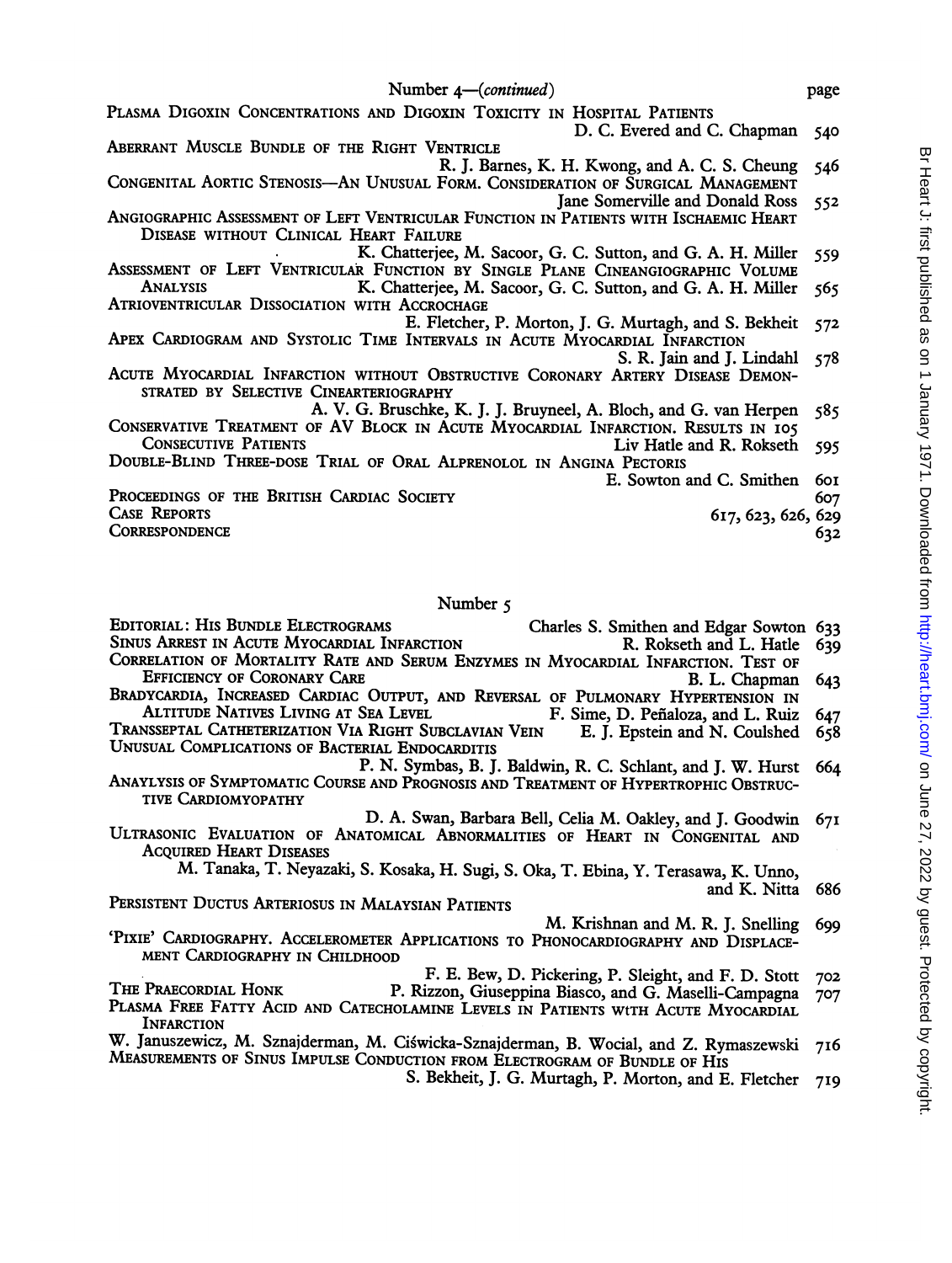| Number 4—( <i>continued</i> )                                                         | page |
|---------------------------------------------------------------------------------------|------|
| PLASMA DIGOXIN CONCENTRATIONS AND DIGOXIN TOXICITY IN HOSPITAL PATIENTS               |      |
| D. C. Evered and C. Chapman                                                           | 540  |
| ABERRANT MUSCLE BUNDLE OF THE RIGHT VENTRICLE                                         |      |
| R. J. Barnes, K. H. Kwong, and A. C. S. Cheung                                        | 546  |
| CONGENITAL AORTIC STENOSIS-AN UNUSUAL FORM. CONSIDERATION OF SURGICAL MANAGEMENT      |      |
| Jane Somerville and Donald Ross                                                       | 552  |
| ANGIOGRAPHIC ASSESSMENT OF LEFT VENTRICULAR FUNCTION IN PATIENTS WITH ISCHAEMIC HEART |      |
| DISEASE WITHOUT CLINICAL HEART FAILURE                                                |      |
| K. Chatterjee, M. Sacoor, G. C. Sutton, and G. A. H. Miller                           | 559  |
| ASSESSMENT OF LEFT VENTRICULAR FUNCTION BY SINGLE PLANE CINEANGIOGRAPHIC VOLUME       |      |
| <b>ANALYSIS</b><br>K. Chatterjee, M. Sacoor, G. C. Sutton, and G. A. H. Miller        | 565  |
| ATRIOVENTRICULAR DISSOCIATION WITH ACCROCHAGE                                         |      |
| E. Fletcher, P. Morton, J. G. Murtagh, and S. Bekheit                                 | 572  |
| APEX CARDIOGRAM AND SYSTOLIC TIME INTERVALS IN ACUTE MYOCARDIAL INFARCTION            |      |
| S. R. Jain and J. Lindahl 578                                                         |      |
| ACUTE MYOCARDIAL INFARCTION WITHOUT OBSTRUCTIVE CORONARY ARTERY DISEASE DEMON-        |      |
| STRATED BY SELECTIVE CINEARTERIOGRAPHY                                                |      |
| A. V. G. Bruschke, K. J. J. Bruyneel, A. Bloch, and G. van Herpen                     | 585  |
| CONSERVATIVE TREATMENT OF AV BLOCK IN ACUTE MYOCARDIAL INFARCTION. RESULTS IN 105     |      |
| <b>CONSECUTIVE PATIENTS</b><br>Liv Hatle and R. Rokseth                               | -595 |
| DOUBLE-BLIND THREE-DOSE TRIAL OF ORAL ALPRENOLOL IN ANGINA PECTORIS                   |      |
| E. Sowton and C. Smithen                                                              | 60 I |
| PROCEEDINGS OF THE BRITISH CARDIAC SOCIETY                                            | 607  |
| <b>CASE REPORTS</b><br>617, 623, 626, 629                                             |      |
| <b>CORRESPONDENCE</b>                                                                 | 632  |
|                                                                                       |      |
|                                                                                       |      |

#### Number 5

EDITORIAL: HIS BUNDLE ELECTROGRAMS<br>SINUS ARREST IN ACUTE MYOCARDIAL INFARCTION R. Rokseth and L. Hatle 639 SINUS ARREST IN ACUTE MYOCARDIAL INFARCTION CORRELATION OF MORTALITY RATE AND SERUM ENZYMES IN MYOCARDIAL INFARCTION. TEST OF EFFICIENCY OF CORONARY CARE EFFICIENCY OF CORONARY CARE B. L. Chapman 643 BRADYCARDIA, INCREASED CARDIAC OUTPUT, AND REVERSAL OF PULMONARY HYPERTENSION IN ALTITUDE NATIVES LIVING AT SEA LEVEL F. Sime, D. Peñaloza, and L. Ruiz ALTITUDE NATIVES LIVING AT SEA LEVEL F. Sime, D. Peñaloza, and L. Ruiz 647 TRANSSEPTAL CATHETERIZATION VIA RIGHT SUBCLAVIAN VEIN E. J. Epstein and N. Coulshed 658 UNUSUAL COMPLICATIONS OF BACTERIAL ENDOCARDITIS P. N. Symbas, B. J. Baldwin, R. C. Schlant, and J. W. Hurst 664 ANAYLYSIS OF SYMPTOMATIC COURSE AND PROGNOSIS AND TREATMENT OF HYPERTROPHIC OBSTRUC-TIVE CARDIOMYOPATHY D. A. Swan, Barbara Bell, Celia M. Oakley, and J. Goodwin 67I ULTRASONIC EVALUATION OF ANATOMICAL ABNORMALITIES OF HEART IN CONGENITAL AND ACQUIRED HEART DISEASES M. Tanaka, T. Neyazaki, S. Kosaka, H. Sugi, S. Oka, T. Ebina, Y. Terasawa, K. Unno, and K. Nitta 686 PERSISTENT DUCTUS ARTERIOSUS IN MALAYSIAN PATIENTS M. Krishnan and M. R. J. Snelling 699 'PIXIE' CARDIOGRAPHY. ACCELEROMETER APPLICATIONS TO PHONOCARDIOGRAPHY AND DISPLACE-MENT CARDIOGRAPHY IN CHILDHOOD F. E. Bew, D. Pickering, P. Sleight, and F. D. Stott 702 THE PRAECORDIAL HONK P. Rizzon, Giuseppina Biasco, and G. Maselli-Campagna 707 PLASMA FREE FATTY ACID AND CATECHOLAMINE LEVELS IN PATIENTS WtTH ACUTE MYOCARDIAL **INFARCTION** W. Januszewicz, M. Sznajderman, M. Ciswicka-Sznajderman, B. Wocial, and Z. Rymaszewski 7I6 MEASUREMENTS OF SINUS IMPULSE CONDUCTION FROM ELECTROGRAM OF BUNDLE OF HIS

S. Bekheit, J. G. Murtagh, P. Morton, and E. Fletcher 719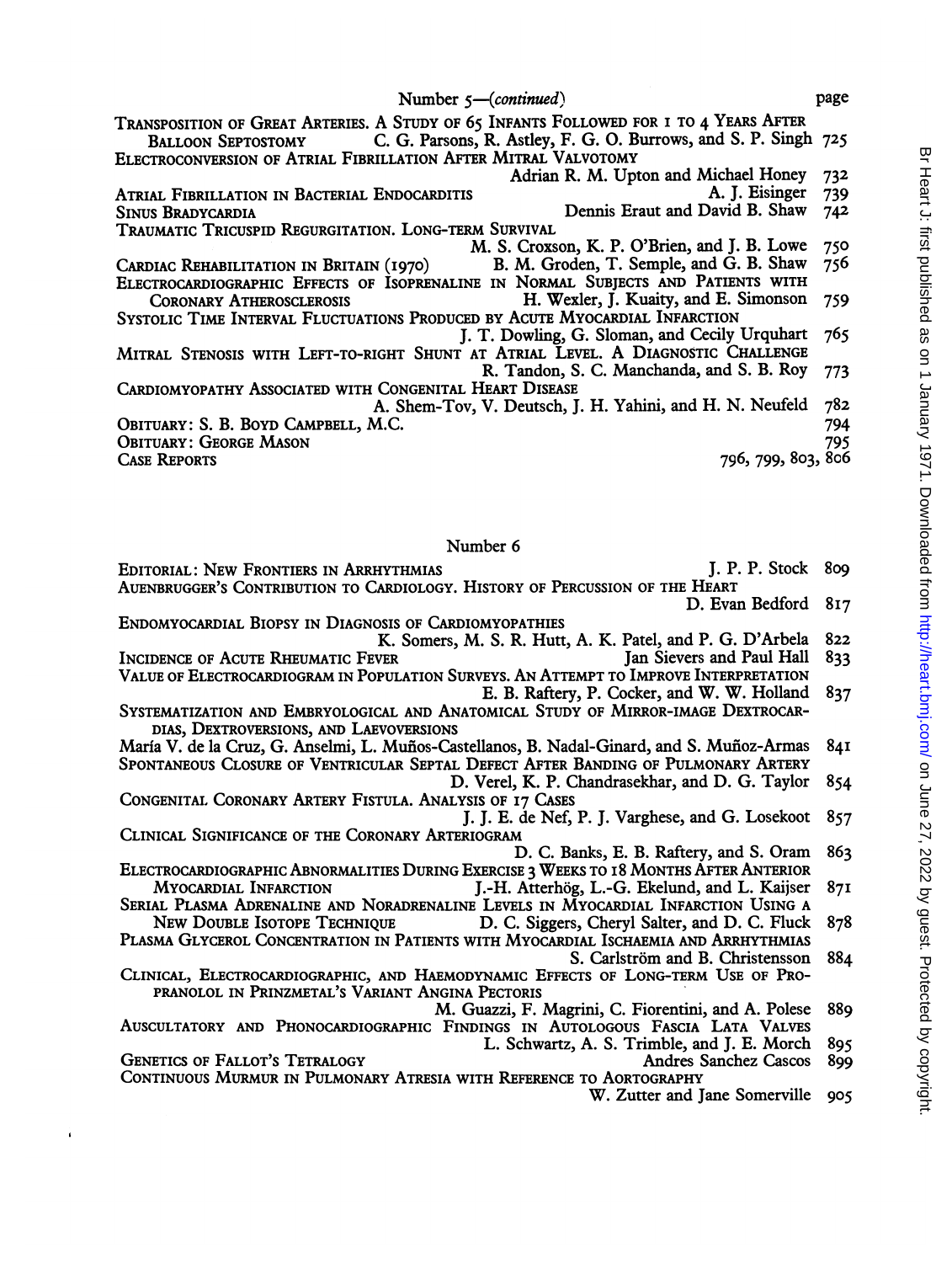TRANSPOSITION OF GREAT ARTERIES. A STUDY OF <sup>65</sup> INFANTS FOLLOWED FOR <sup>I</sup> TO <sup>4</sup> YEARS AFTER C. G. Parsons, R. Astley, F. G. O. Burrows, and S. P. Singh 725 ELECTROCONVERSION OF ATRIAL FIBRILLATION AFTER MITRAL VALVOTOMY Adrian R. M. Upton and Michael Honey 732<br>A. J. Eisinger 739 ATRIAL FIBRILLATION IN BACTERIAL ENDOCARDITIS<br>SINUS BRADYCARDIA BADYCARDIA Dennis Eraut and David B. Shaw 742 Dennis Eraut and David B. Shaw TRAUMATIC TRICUSPID REGURGITATION. LONG-TERM SURVIVAL M. S. Croxson, K. P. O'Brien, and J. B. Lowe 750<br>B. M. Groden, T. Semple, and G. B. Shaw 756 CARDIAC REHABILITATION IN BRITAIN (1970) ELECTROCARDIOGRAPHIC EFFECTS OF ISOPRENALINE IN NORMAL SUBJECTS AND PATIENTS WITH CORONARY ATHEROSCLEROSIS H. Wexler, J. Kuaity, and E. Simonson H. Wexler, J. Kuaity, and E. Simonson 759 SYSTOLIC TiME INTERVAL FLUCTUATIONS PRODUCED BY ACUTE MYOCARDIAL INFARCTION J. T. Dowling, G. Sloman, and Cecily Urquhart 765 MITRAL STENOSIS WITH LEFT-TO-RIGHT SHUNT AT ATRIAL LEVEL. A DIAGNOSTIC CHALLENGE R. Tandon, S. C. Manchanda, and S. B. RoY 773 CARDIOMYOPATHY ASSOCIATED WITH CONGENITAL HEART DISEASE A. Shem-Tov, V. Deutsch, J. H. Yahini, and H. N. Neufeld 782 OBITUARY: S. B. BOYD CAMPBELL, M.C. Obituary: George Mason 795<br>Case Reports 796, 799, 803, 806 796, 799, 803, 806

Number 6

- EDITORIAL: NEW FRONTIERS IN ARRHYTHMIAS **FOLLOWING SUPPORT ALL PROPERTY** J. P. P. Stock 809 AUENBRUGGER'S CONTRIBUTION TO CARDIOLOGY. HISTORY OF PERCUSSION OF THE HEART D. Evan Bedford 817
- ENDOMYOCARDIAL BIOPSY IN DIAGNOSIS OF CARDIOMYOPATHIES
- K. Somers, M. S. R. Hutt, A. K. Patel, and P. G. D'Arbela 822
- INCIDENCE OF ACUTE RHEUMATIC FEVER VALUE OF ELECTROCARDIOGRAM IN POPULATION SURVEYS. AN ATTEMPT TO IMPROVE INTERPRETATION
- E. B. Raftery, P. Cocker, and W. W. Holland 837
- SYSTEMATIZATION AND EMBRYOLOGICAL AND ANATOMICAL STUDY OF MIRROR-IMAGE DEXTROCAR-DIAS, DEXTROVERSIONS, AND LAEVOVERSIONS
- María V. de la Cruz, G. Anselmi, L. Muños-Castellanos, B. Nadal-Ginard, and S. Muñoz-Armas 841 SPONTANEOUS CLOSURE OF VENTRICULAR SEPTAL DEFECT AFTER BANDING OF PULMONARY ARTERY
	- D. Verel, K. P. Chandrasekhar, and D. G. Taylor 854
- CONGENITAL CORONARY ARTERY FISTULA. ANALYSIS OF I7 CASES J. J. E. de Nef, P. J. Varghese, and G. Losekoot 857
- CLINICAL SIGNIFICANCE OF THE CORONARY ARTERIOGRAM D. C. Banks, E. B. Raftery, and S. Oram 863
- ELECTROCARDIOGRAPHIC ABNORMALITIES DURING EXERCISE 3 WEEKS TO 18 MONTHS AFTER ANTERIOR<br>MYOCARDIAL INFARCTION 1.-H. Atterhög, L.-G. Ekelund, and L. Kaijser J.-H. Atterhög, L.-G. Ekelund, and L. Kaijser 87I
- SERIAL PLASMA ADRENALINE AND NORADRENALINE LEVELS IN MYOCARDIAL INFARCTION USING A<br>New Double Isotope Technique D. C. Siggers, Chervl Salter, and D. C. Fluck D. C. Siggers, Cheryl Salter, and D. C. Fluck 878
- PLASMA GLYCEROL CONCENTRATION IN PATIENTS WITH MYOCARDIAL ISCHAEMIA AND ARRHYTHMIAS S. Carlström and B. Christensson 884
- CLINICAL, ELECTROCARDIOGRAPHIC, AND HAEMODYNAMIC EFFECTS OF LONG-TERM USE OF PRO-PRANOLOL IN PRINZMETAL'S VARIANT ANGINA PECTORIS
- M. Guazzi, F. Magrini, C. Fiorentini, and A. Polese 889 AUSCULTATORY AND PHONOCARDIOGRAPHIC FINDINGS IN AUTOLOGOUS FASCIA LATA VALVES
- L. Schwartz, A. S. Trimble, and J. E. Morch 895
- GENETICS OF FALLOT'S TETRALOGY AND THE SANCHEZ CASCOS 899 CONTINUOUS MURMUR IN PULMONARY ATRESIA WITH REFERENCE TO AORTOGRAPHY
	- W. Zutter and Jane Somerville 905